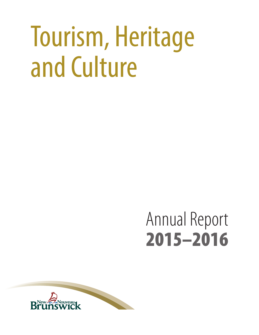# Tourism, Heritage and Culture

# Annual Report 2015–2016

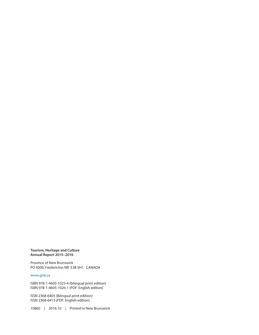#### **Tourism, Heritage and Culture Annual Report 2015–2016**

Province of New Brunswick PO 6000, Fredericton NB E3B 5H1 CANADA

#### [www.gnb.ca](http://www.gnb.ca)

ISBN 978-1-4605-1025-4 (bilingual print edition) ISBN 978-1-4605-1026-1 (PDF: English edition)

ISSN 2368-6405 (Bilingual print edition) ISSN 2368-6413 (PDF: English edition)

10860 | 2016.10 | Printed in New Brunswick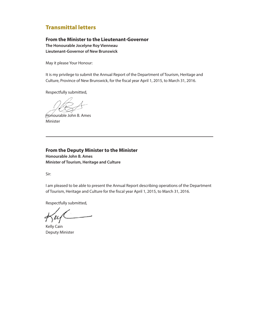### Transmittal letters

#### **From the Minister to the Lieutenant-Governor The Honourable Jocelyne Roy Vienneau Lieutenant-Governor of New Brunswick**

May it please Your Honour:

It is my privilege to submit the Annual Report of the Department of Tourism, Heritage and Culture, Province of New Brunswick, for the fiscal year April 1, 2015, to March 31, 2016.

Respectfully submitted,

Honourable John B. Ames Minister

**From the Deputy Minister to the Minister Honourable John B. Ames Minister of Tourism, Heritage and Culture**

Sir:

I am pleased to be able to present the Annual Report describing operations of the Department of Tourism, Heritage and Culture for the fiscal year April 1, 2015, to March 31, 2016.

Respectfully submitted,

 $\mu$ 

Kelly Cain Deputy Minister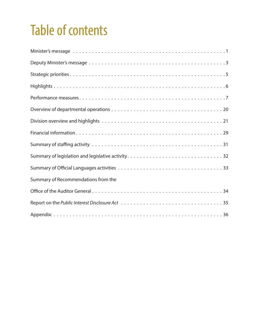# Table of contents

| Summary of Recommendations from the |
|-------------------------------------|
|                                     |
|                                     |
|                                     |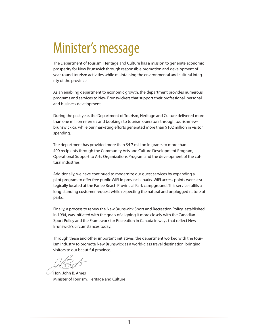# <span id="page-4-0"></span>Minister's message

The Department of Tourism, Heritage and Culture has a mission to generate economic prosperity for New Brunswick through responsible promotion and development of year-round tourism activities while maintaining the environmental and cultural integrity of the province.

As an enabling department to economic growth, the department provides numerous programs and services to New Brunswickers that support their professional, personal and business development.

During the past year, the Department of Tourism, Heritage and Culture delivered more than one million referrals and bookings to tourism operators through tourismnewbrunswick.ca, while our marketing efforts generated more than \$102 million in visitor spending.

The department has provided more than \$4.7 million in grants to more than 400 recipients through the Community Arts and Culture Development Program, Operational Support to Arts Organizations Program and the development of the cultural industries.

Additionally, we have continued to modernize our guest services by expanding a pilot program to offer free public WiFi in provincial parks. WiFi access points were strategically located at the Parlee Beach Provincial Park campground. This service fulfils a long-standing customer request while respecting the natural and unplugged nature of parks.

Finally, a process to renew the New Brunswick Sport and Recreation Policy, established in 1994, was initiated with the goals of aligning it more closely with the Canadian Sport Policy and the Framework for Recreation in Canada in ways that reflect New Brunswick's circumstances today.

Through these and other important initiatives, the department worked with the tourism industry to promote New Brunswick as a world-class travel destination, bringing visitors to our beautiful province.

Hon. John B. Ames Minister of Tourism, Heritage and Culture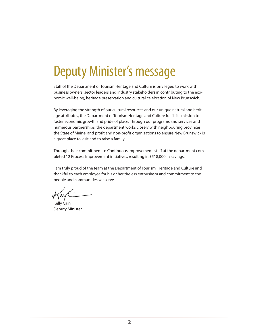# <span id="page-5-0"></span>Deputy Minister's message

Staff of the Department of Tourism Heritage and Culture is privileged to work with business owners, sector leaders and industry stakeholders in contributing to the economic well-being, heritage preservation and cultural celebration of New Brunswick.

By leveraging the strength of our cultural resources and our unique natural and heritage attributes, the Department of Tourism Heritage and Culture fulfils its mission to foster economic growth and pride of place. Through our programs and services and numerous partnerships, the department works closely with neighbouring provinces, the State of Maine, and profit and non-profit organizations to ensure New Brunswick is a great place to visit and to raise a family.

Through their commitment to Continuous Improvement, staff at the department completed 12 Process Improvement initiatives, resulting in \$518,000 in savings.

I am truly proud of the team at the Department of Tourism, Heritage and Culture and thankful to each employee for his or her tireless enthusiasm and commitment to the people and communities we serve.

Kelly Cain Deputy Minister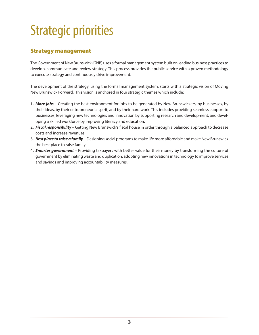# <span id="page-6-0"></span>Strategic priorities

# Strategy management

The Government of New Brunswick (GNB) uses a formal management system built on leading business practices to develop, communicate and review strategy. This process provides the public service with a proven methodology to execute strategy and continuously drive improvement.

The development of the strategy, using the formal management system, starts with a strategic vision of Moving New Brunswick Forward. This vision is anchored in four strategic themes which include:

- **1.** *More jobs* Creating the best environment for jobs to be generated by New Brunswickers, by businesses, by their ideas, by their entrepreneurial spirit, and by their hard work. This includes providing seamless support to businesses, leveraging new technologies and innovation by supporting research and development, and developing a skilled workforce by improving literacy and education.
- **2.** *Fiscal responsibility* Getting New Brunswick's fiscal house in order through a balanced approach to decrease costs and increase revenues.
- **3.** *Best place to raise a family* Designing social programs to make life more affordable and make New Brunswick the best place to raise family.
- **4.** *Smarter government* Providing taxpayers with better value for their money by transforming the culture of government by eliminating waste and duplication, adopting new innovations in technology to improve services and savings and improving accountability measures.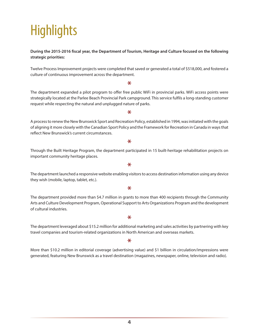# <span id="page-7-0"></span>**Highlights**

#### **During the 2015-2016 fiscal year, the Department of Tourism, Heritage and Culture focused on the following strategic priorities:**

Twelve Process Improvement projects were completed that saved or generated a total of \$518,000, and fostered a culture of continuous improvement across the department.

#### \*

The department expanded a pilot program to offer free public WiFi in provincial parks. WiFi access points were strategically located at the Parlee Beach Provincial Park campground. This service fulfils a long-standing customer request while respecting the natural and unplugged nature of parks.

\*

A process to renew the New Brunswick Sport and Recreation Policy, established in 1994, was initiated with the goals of aligning it more closely with the Canadian Sport Policy and the Framework for Recreation in Canada in ways that reflect New Brunswick's current circumstances.

#### \*

Through the Built Heritage Program, the department participated in 15 built-heritage rehabilitation projects on important community heritage places.

\*

The department launched a responsive website enabling visitors to access destination information using any device they wish (mobile, laptop, tablet, etc.).

#### \*

The department provided more than \$4.7 million in grants to more than 400 recipients through the Community Arts and Culture Development Program, Operational Support to Arts Organizations Program and the development of cultural industries.

 $\ast$ 

The department leveraged about \$15.2 million for additional marketing and sales activities by partnering with key travel companies and tourism-related organizations in North American and overseas markets.

#### \*

More than \$10.2 million in editorial coverage (advertising value) and \$1 billion in circulation/impressions were generated, featuring New Brunswick as a travel destination (magazines, newspaper, online, television and radio).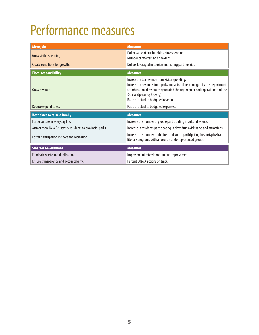# <span id="page-8-0"></span>Performance measures

| <b>More jobs</b>                                          | <b>Measures</b>                                                                                                                                                                                                                                                                 |
|-----------------------------------------------------------|---------------------------------------------------------------------------------------------------------------------------------------------------------------------------------------------------------------------------------------------------------------------------------|
| Grow visitor spending.                                    | Dollar value of attributable visitor spending.<br>Number of referrals and bookings.                                                                                                                                                                                             |
| Create conditions for growth.                             | Dollars leveraged in tourism marketing partnerships.                                                                                                                                                                                                                            |
| <b>Fiscal responsibility</b>                              | <b>Measures</b>                                                                                                                                                                                                                                                                 |
| Grow revenue.                                             | Increase in tax revenue from visitor spending.<br>Increase in revenues from parks and attractions managed by the department<br>(combination of revenues generated through regular park operations and the<br>Special Operating Agency).<br>Ratio of actual to budgeted revenue. |
| Reduce expenditures.                                      | Ratio of actual to budgeted expenses.                                                                                                                                                                                                                                           |
| <b>Best place to raise a family</b>                       | <b>Measures</b>                                                                                                                                                                                                                                                                 |
| Foster culture in everyday life.                          | Increase the number of people participating in cultural events.                                                                                                                                                                                                                 |
| Attract more New Brunswick residents to provincial parks. | Increase in residents participating in New Brunswick parks and attractions.                                                                                                                                                                                                     |
| Foster participation in sport and recreation.             | Increase the number of children and youth participating in sport/physical<br>literacy programs with a focus on underrepresented groups.                                                                                                                                         |
| <b>Smarter Government</b>                                 | <b>Measures</b>                                                                                                                                                                                                                                                                 |
| Eliminate waste and duplication.                          | Improvement rate via continuous improvement.                                                                                                                                                                                                                                    |
| Ensure transparency and accountability.                   | Percent SOMIA actions on track.                                                                                                                                                                                                                                                 |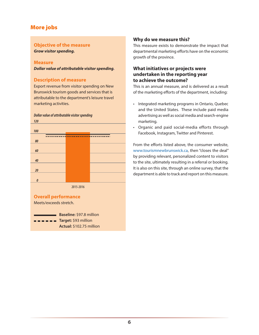### More jobs

#### **Objective of the measure**

*Grow visitor spending.*

#### **Measure**

*Dollar value of attributable visitor spending.*

#### **Description of measure**

Export revenue from visitor spending on New Brunswick tourism goods and services that is attributable to the department's leisure travel marketing activities.



#### **Overall performance**

Meets/exceeds stretch.

**Baseline:** \$97.8 million  $\blacksquare$   $\blacksquare$   $\blacksquare$   $\blacksquare$   $\blacksquare$   $\blacksquare$   $\blacksquare$   $\blacksquare$   $\blacksquare$   $\blacksquare$   $\blacksquare$   $\blacksquare$   $\blacksquare$   $\blacksquare$   $\blacksquare$   $\blacksquare$   $\blacksquare$   $\blacksquare$   $\blacksquare$   $\blacksquare$   $\blacksquare$   $\blacksquare$   $\blacksquare$   $\blacksquare$   $\blacksquare$   $\blacksquare$   $\blacksquare$   $\blacksquare$   $\blacksquare$   $\blacksquare$   $\blacksquare$   $\blacks$ **Actual:** \$102.75 million

#### **Why do we measure this?**

This measure exists to demonstrate the impact that departmental marketing efforts have on the economic growth of the province.

#### **What initiatives or projects were undertaken in the reporting year to achieve the outcome?**

This is an annual measure, and is delivered as a result of the marketing efforts of the department, including:

- Integrated marketing programs in Ontario, Quebec and the United States. These include paid media advertising as well as social media and search-engine marketing.
- • Organic and paid social-media efforts through Facebook, Instagram, Twitter and Pinterest.

From the efforts listed above, the consumer website, www.tourismnewbrunswick.ca, then "closes the deal" by providing relevant, personalized content to visitors to the site, ultimately resulting in a referral or booking. It is also on this site, through an online survey, that the department is able to track and report on this measure.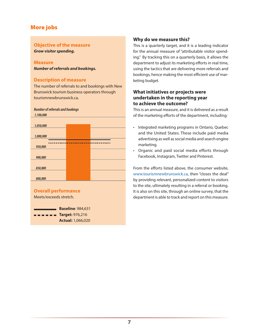### More jobs

#### **Objective of the measure**

*Grow visitor spending.*

#### **Measure**

*Number of referrals and bookings.*

#### **Description of measure**

*Number of referrals and bookings*

The number of referrals to and bookings with New Brunswick tourism business operators through tourismnewbrunswick.ca.



Meets/exceeds stretch.

**Baseline**: 984,631 **Target:** 976,216 **Actual:** 1,066,020

#### **Why do we measure this?**

This is a quarterly target, and it is a leading indicator for the annual measure of "attributable visitor spending." By tracking this on a quarterly basis, it allows the department to adjust its marketing efforts in real time, using the tactics that are delivering more referrals and bookings, hence making the most efficient use of marketing budget.

#### **What initiatives or projects were undertaken in the reporting year to achieve the outcome?**

This is an annual measure, and it is delivered as a result of the marketing efforts of the department, including:

- Integrated marketing programs in Ontario, Quebec and the United States. These include paid media advertising as well as social media and search engine marketing.
- Organic and paid social media efforts through Facebook, Instagram, Twitter and Pinterest.

From the efforts listed above, the consumer website, www.tourismnewbrunswick.ca, then "closes the deal" by providing relevant, personalized content to visitors to the site, ultimately resulting in a referral or booking. It is also on this site, through an online survey, that the department is able to track and report on this measure.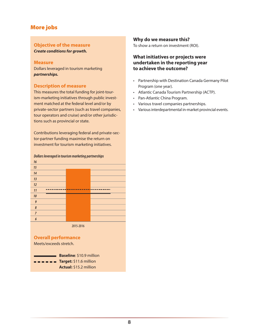### More jobs

#### **Objective of the measure**

*Create conditions for growth.*

#### **Measure**

Dollars leveraged in tourism marketing *partnerships.*

#### **Description of measure**

This measures the total funding for joint-tourism-marketing initiatives through public investment matched at the federal level and/or by private-sector partners (such as travel companies, tour operators and cruise) and/or other jurisdictions such as provincial or state.

Contributions leveraging federal and private-sector-partner funding maximise the return on investment for tourism marketing initiatives.



#### **Overall performance**

Meets/exceeds stretch.

**Baseline**: \$10.9 million  $\blacksquare$  $\blacksquare$  $\blacksquare$  $\blacksquare$  $\blacksquare$  $\blacksquare$ **Target:** \$11.6 million **Actual:** \$15.2 million

#### **Why do we measure this?**

To show a return on investment (ROI).

#### **What initiatives or projects were undertaken in the reporting year to achieve the outcome?**

- • Partnership with Destination Canada Germany Pilot Program (one year).
- • Atlantic Canada Tourism Partnership (ACTP).
- • Pan-Atlantic China Program.
- • Various travel companies partnerships.
- • Various interdepartmental in-market provincial events.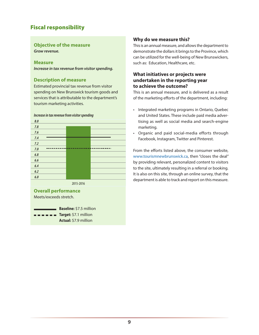# **Objective of the measure**

*Grow revenue.*

#### **Measure**

*Increase in tax revenue from visitor spending.*

#### **Description of measure**

Estimated provincial tax revenue from visitor spending on New Brunswick tourism goods and services that is attributable to the department's tourism marketing activities.



**Overall performance**

Meets/exceeds stretch.

**Baseline:** \$7.5 million  $\blacksquare$   $\blacksquare$   $\blacksquare$  **Target:** \$7.1 million **Actual:** \$7.9 million

#### **Why do we measure this?**

This is an annual measure, and allows the department to demonstrate the dollars it brings to the Province, which can be utilized for the well-being of New Brunswickers, such as: Education, Healthcare, etc.

#### **What initiatives or projects were undertaken in the reporting year to achieve the outcome?**

This is an annual measure, and is delivered as a result of the marketing efforts of the department, including:

- • Integrated marketing programs in Ontario, Quebec and United States. These include paid media advertising as well as social media and search-engine marketing.
- • Organic and paid social-media efforts through Facebook, Instagram, Twitter and Pinterest.

From the efforts listed above, the consumer website, www.tourismnewbrunswick.ca, then "closes the deal" by providing relevant, personalized content to visitors to the site, ultimately resulting in a referral or booking. It is also on this site, through an online survey, that the department is able to track and report on this measure. **6.0**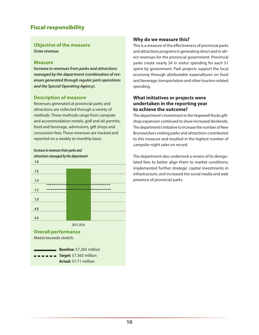#### **Objective of the measure** *Grow revenue.*

#### **Measure**

*Increase in revenues from parks and attractions managed by the department (combination of revenues generated through regular park operations and the Special Operating Agency).*

#### **Description of measure**

Revenues generated at provincial parks and attractions are collected through a variety of methods. These methods range from campsite and accommodation rentals, golf and ski permits, food and beverage, admissions, gift shops and concession fees. These revenues are tracked and reported on a weekly to monthly basis.

### *Increase in revenues from parks and attractions managed by the department*



**Actual:** \$7.71 million

#### **Why do we measure this?**

This is a measure of the effectiveness of provincial parks and attractions programs in generating direct and in-direct revenues for the provincial government. Provincial parks create nearly \$4 in visitor spending for each \$1 spent by government. Park projects support the local economy through attributable expenditures on food and beverage, transportation and other tourism-related spending.

#### **What initiatives or projects were undertaken in the reporting year to achieve the outcome?**

The department's investment in the Hopewell Rocks giftshop expansion continued to show increased dividends. The department's initiative to increase the number of New Brunswickers visiting parks and attractions contributed to this measure and resulted in the highest number of campsite-night sales on record.

The department also undertook a review of its deregulated fees to better align them to market conditions; implemented further strategic capital investments in infrastructure; and increased the social media and web presence of provincial parks.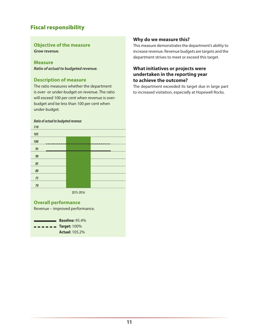#### **Objective of the measure** *Grow revenue.*

**Measure** *Ratio of actual to budgeted revenue.*

#### **Description of measure**

The ratio measures whether the department is over- or under-budget on revenue. The ratio will exceed 100 per cent when revenue is overbudget and be less than 100 per cent when under-budget.

#### *Ratio of actual to budgeted revenue* **110**

| 110    |  |  |
|--------|--|--|
| 105    |  |  |
| 100    |  |  |
| 95     |  |  |
| 90     |  |  |
| 85     |  |  |
| 80     |  |  |
| 75     |  |  |
| $70\,$ |  |  |
|        |  |  |

2015-2016

#### **Overall performance**

Revenue – improved performance.

**Baseline:** 95.4%  $\blacksquare$   $\blacksquare$   $\blacksquare$   $\blacksquare$   $\blacksquare$   $\blacksquare$   $\blacksquare$   $\blacksquare$   $\blacksquare$   $\blacksquare$   $\blacksquare$   $\blacksquare$   $\blacksquare$   $\blacksquare$   $\blacksquare$   $\blacksquare$   $\blacksquare$   $\blacksquare$   $\blacksquare$   $\blacksquare$   $\blacksquare$   $\blacksquare$   $\blacksquare$   $\blacksquare$   $\blacksquare$   $\blacksquare$   $\blacksquare$   $\blacksquare$   $\blacksquare$   $\blacksquare$   $\blacksquare$   $\blacks$ **Actual:** 105.2%

#### **Why do we measure this?**

This measure demonstrates the department's ability to increase revenue. Revenue budgets are targets and the department strives to meet or exceed this target.

#### **What initiatives or projects were undertaken in the reporting year to achieve the outcome?**

The department exceeded its target due in large part to increased visitation, especially at Hopewell Rocks.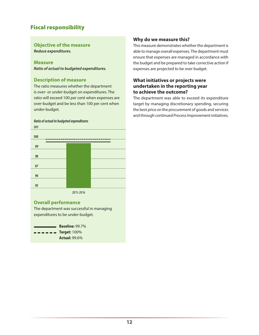# **Objective of the measure**

*Reduce expenditures.*

#### **Measure**

*Ratio of actual to budgeted expenditures.*

#### **Description of measure**

The ratio measures whether the department is over- or under-budget on expenditures. The ratio will exceed 100 per cent when expenses are over-budget and be less than 100 per cent when under-budget.

#### *Ratio of actual to budgeted expenditures* **101**



#### **Overall performance**

The department was successful in managing expenditures to be under-budget.



#### **Why do we measure this?**

This measure demonstrates whether the department is able to manage overall expenses. The department must ensure that expenses are managed in accordance with the budget and be prepared to take corrective action if expenses are projected to be over budget.

#### **What initiatives or projects were undertaken in the reporting year to achieve the outcome?**

The department was able to exceed its expenditure target by managing discretionary spending, securing the best price on the procurement of goods and services and through continued Process Improvement initiatives.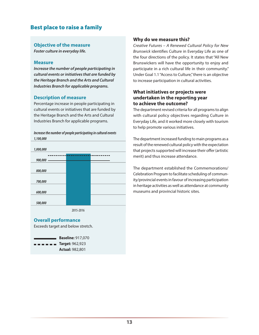# Best place to raise a family

#### **Objective of the measure**

*Foster culture in everyday life.*

#### **Measure**

*Increase the number of people participating in cultural events or initiatives that are funded by the Heritage Branch and the Arts and Cultural Industries Branch for applicable programs.*

#### **Description of measure**

Percentage increase in people participating in cultural events or initiatives that are funded by the Heritage Branch and the Arts and Cultural Industries Branch for applicable programs.



#### **Overall performance**

Exceeds target and below stretch.

| <b>Baseline: 917.070</b>                                                                   |
|--------------------------------------------------------------------------------------------|
| $\blacksquare$ $\blacksquare$ $\blacksquare$ $\blacksquare$ $\blacksquare$ Target: 962,923 |
| <b>Actual: 982,801</b>                                                                     |

#### **Why do we measure this?**

*Creative Futures – A Renewed Cultural Policy for New Brunswick* identifies Culture in Everyday Life as one of the four directions of the policy. It states that "All New Brunswickers will have the opportunity to enjoy and participate in a rich cultural life in their community." Under Goal 1.1 "Access to Culture," there is an objective to increase participation in cultural activities.

#### **What initiatives or projects were undertaken in the reporting year to achieve the outcome?**

The department revised criteria for all programs to align with cultural policy objectives regarding Culture in Everyday Life, and it worked more closely with tourism to help promote various initiatives.

The department increased funding to main programs as a result of the renewed cultural policy with the expectation that projects supported will increase their offer (artistic merit) and thus increase attendance.

The department established the Commemorations/ Celebration Program to facilitate scheduling of community/provincial events in favour of increasing participation in heritage activities as well as attendance at community museums and provincial historic sites.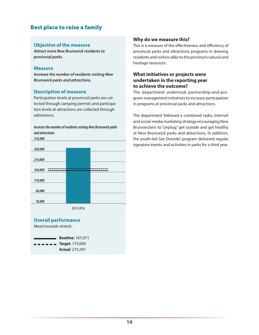# Best place to raise a family

#### **Objective of the measure**

*Attract more New Brunswick residents to provincial parks.*

#### **Measure**

*Increase the number of residents visiting New Brunswick parks and attractions.*

#### **Description of measure**

Participation levels at provincial parks are collected through camping permits and participation levels at attractions are collected through admissions.

#### *Increase the number of residents visiting New Brunswick parks and attractions*





#### **Why do we measure this?**

This is a measure of the effectiveness and efficiency of provincial parks and attractions programs in drawing residents and visitors alike to the province's natural and heritage resources.

#### **What initiatives or projects were undertaken in the reporting year to achieve the outcome?**

The department undertook partnership-and-program-management initiatives to increase participation in programs at provincial parks and attractions.

The department followed a combined radio, internet and social-media marketing strategy encouraging New Brunswickers to "unplug," get outside and get healthy at New Brunswick parks and attractions. In addition, the youth-led Get Outside! program delivered regular signature events and activities in parks for a third year.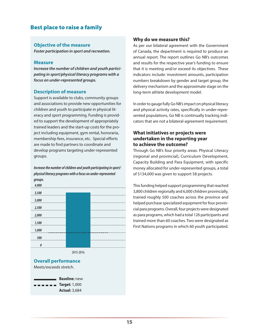### Best place to raise a family

#### **Objective of the measure**

*Foster participation in sport and recreation.*

#### **Measure**

*Increase the number of children and youth participating in sport/physical literacy programs with a focus on under-represented groups.* 

#### **Description of measure**

Support is available to clubs, community groups and associations to provide new opportunities for children and youth to participate in physical literacy and sport programming. Funding is provided to support the development of appropriately trained leaders and the start-up costs for the project including equipment, gym rental, honoraria, membership fees, insurance, etc. Special efforts are made to find partners to coordinate and develop programs targeting under-represented groups.

*Increase the number of children and youth participating in sport/ physical literacy programs with a focus on under-represented groups.* 



### **Overall performance**

Meets/exceeds stretch.



#### **Why do we measure this?**

As per our bilateral agreement with the Government of Canada, the department is required to produce an annual report. The report outlines Go NB's outcomes and results for the respective year's funding to ensure that it is meeting and/or exceed its objectives. These indicators include: investment amounts, participation numbers breakdown by gender and target group, the delivery mechanism and the approximate stage on the long-term athlete development model.

In order to gauge fully Go NB's impact on physical literacy and physical activity rates, specifically in under-represented populations, Go NB is continually tracking indicators that are not a bilateral-agreement requirement.

#### **What initiatives or projects were undertaken in the reporting year to achieve the outcome?**

Through Go NB's four priority areas: Physical Literacy (regional and provincial), Curriculum Development, Capacity Building and Para Equipment, with specific money allocated for under-represented groups, a total of \$134,000 was given to support 58 projects.

This funding helped support programming that reached 3,800 children regionally and 6,000 children provincially, trained roughly 500 coaches across the province and helped purchase specialized equipment for four provincial para programs. Overall, four projects were designated as para programs, which had a total 126 participants and trained more than 60 coaches. Two were designated as First Nations programs in which 60 youth participated.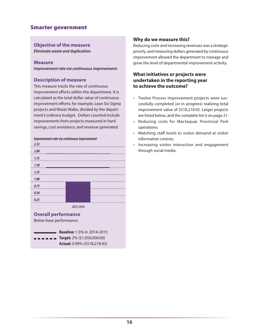### Smarter government

#### **Objective of the measure**

*Eliminate waste and duplication.*

#### **Measure**

*Improvement rate via continuous improvement.* 

#### **Description of measure**

This measure tracks the rate of continuous improvement efforts within the department. It is calculated as the total dollar value of continuous improvement efforts; for example, Lean Six Sigma projects and Waste Walks, divided by the department's ordinary budget. Dollars counted include improvements from projects measured in hard savings, cost avoidance, and revenue generated.

### *Improvement rate via continuous improvement*



#### **Overall performance**

Below base performance.

| <b>Baseline:</b> 1.5% in 2014-2015                                                      |  |  |
|-----------------------------------------------------------------------------------------|--|--|
| $\blacksquare$ $\blacksquare$ $\blacksquare$ $\blacksquare$ Target: 2% (\$1,050,000.00) |  |  |
| Actual: 0.99% (\$518,218.92)                                                            |  |  |

#### **Why do we measure this?**

Reducing costs and increasing revenues was a strategic priority, and measuring dollars generated by continuous improvement allowed the department to manage and grow the level of departmental improvement activity.

#### **What initiatives or projects were undertaken in the reporting year to achieve the outcome?**

- • Twelve Process Improvement projects were successfully completed (or in progress) realizing total improvement value of \$518,218.92. Larger projects are listed below, and the complete list is on page 21:
- • Reducing costs for Mactaquac Provincial Park operations;
- • Matching staff levels to visitor demand at visitor information centres;
- Increasing visitor interaction and engagement through social media.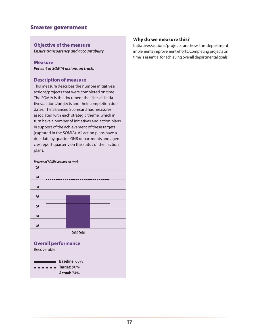### Smarter government

#### **Objective of the measure**

*Ensure transparency and accountability.*

#### **Measure**

*Percent of SOMIA actions on track.*

#### **Description of measure**

This measure describes the number initiatives/ actions/projects that were completed on time. The SOMIA is the document that lists all initiatives/actions/projects and their completion due dates. The Balanced Scorecard has measures associated with each strategic theme, which in turn have a number of initiatives and action plans in support of the achievement of these targets (captured in the SOMIA). All action plans have a due date by quarter. GNB departments and agencies report quarterly on the status of their action plans.

### *Percent of SOMIA actions on track*



**Actual:** 74%

#### **Why do we measure this?**

Initiatives/actions/projects are how the department implements improvement efforts. Completing projects on time is essential for achieving overall departmental goals.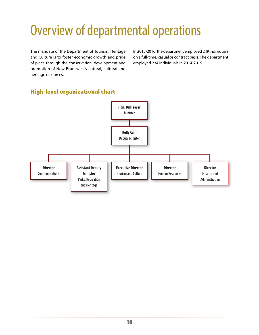# <span id="page-21-0"></span>Overview of departmental operations

The mandate of the Department of Tourism, Heritage and Culture is to foster economic growth and pride of place through the conservation, development and promotion of New Brunswick's natural, cultural and heritage resources.

In 2015-2016, the department employed 249 individuals on a full-time, casual or contract basis. The department employed 234 individuals in 2014-2015.

# High-level organizational chart

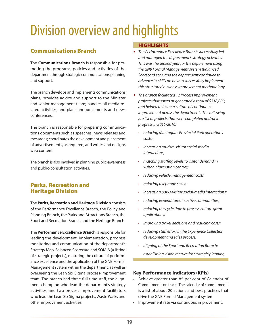# <span id="page-22-0"></span>Division overview and highlights

# Communications Branch

The **Communications Branch** is responsible for promoting the programs, policies and activities of the department through strategic communications planning and support.

The branch develops and implements communications plans; provides advice and support to the Minister and senior management team; handles all media-related activities; and plans announcements and news conferences.

The branch is responsible for preparing communications documents such as speeches, news releases and messages; coordinates the development and placement of advertisements, as required; and writes and designs web content.

The branch is also involved in planning public-awareness and public-consultation activities.

### Parks, Recreation and Heritage Division

The **Parks, Recreation and Heritage Division** consists of the Performance Excellence Branch, the Policy and Planning Branch, the Parks and Attractions Branch, the Sport and Recreation Branch and the Heritage Branch.

The **Performance Excellence Branch** is responsible for leading the development, implementation, progress monitoring and communication of the department's Strategy Map, Balanced Scorecard and SOMIA (a listing of strategic projects), maturing the culture of performance excellence and the application of the GNB Formal Management system within the department, as well as overseeing the Lean Six Sigma process-improvement team. The branch had three full-time staff, the alignment champion who lead the department's strategy activities, and two process improvement facilitators who lead the Lean Six Sigma projects, Waste Walks and other improvement activities.

#### **HIGHLIGHTS**

- *The Performance Excellence Branch successfully led and managed the department's strategy activities. This was the second year for the department using the GNB Formal Management system (Balanced Scorecard etc.), and the department continued to advance its skills on how to successfully implement this structured business improvement methodology.*
- *The branch facilitated 12 Process Improvement projects that saved or generated a total of \$518,000, and helped to foster a culture of continuous improvement across the department. The following is a list of projects that were completed and/or in progress in 2015-2016:*
	- • *reducing Mactaquac Provincial Park operations costs;*
	- • *increasing tourism-visitor social-media interactions;*
	- • *matching staffing levels to visitor demand in visitor information centres;*
	- • *reducing vehicle management costs;*
	- • *reducing telephone costs;*
	- • *increasing parks-visitor social-media interactions;*
	- • *reducing expenditures in active communities;*
	- • *reducing the cycle time to process culture grant applications;*
	- • *improving travel decisions and reducing costs;*
	- • *reducing staff effort in the Experience Collection development and sales process;*
	- • *aligning of the Sport and Recreation Branch; establishing vision metrics for strategic planning.*

#### **Key Performance Indicators (KPIs)**

- • Achieve greater than 85 per cent of Calendar of Commitments on track. The calendar of commitments is a list of about 20 actions and best practices that drive the GNB Formal Management system.
- • Improvement rate via continuous improvement.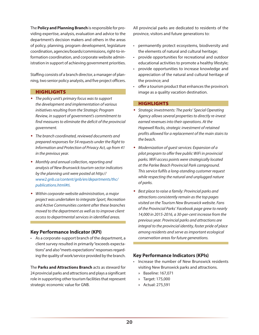The **Policy and Planning Branch** is responsible for providing expertise, analysis, evaluation and advice to the department's decision makers and others in the areas of policy, planning, program development, legislature coordination, agencies/boards/commissions, right-to-information coordination, and corporate website administration in support of achieving government priorities.

Staffing consists of a branch director, a manager of planning, two senior policy analysts, and five project officers.

#### **HIGHLIGHTS**

- *The policy unit's primary focus was to support the development and implementation of various initiatives resulting from the Strategic Program Review, in support of government's commitment to find measures to eliminate the deficit of the provincial government.*
- *The branch coordinated, reviewed documents and prepared responses for 54 requests under the Right to Information and Protection of Privacy Act, up from 41 in the previous year.*
- *Monthly and annual collection, reporting and analysis of New Brunswick tourism-sector indicators by the planning unit were posted at http:// www2.gnb.ca/content/gnb/en/departments/thc/ publications.html#ti.*
- *Within corporate-website administration, a major project was undertaken to integrate Sport, Recreation and Active Communities content after these branches moved to the department as well as to improve client access to departmental services in identified areas.*

#### **Key Performance Indicator (KPI)**

• As a corporate-support branch of the department, a client survey resulted in primarily "exceeds expectations" and also "meets expectations" responses regarding the quality of work/service provided by the branch.

The **Parks and Attractions Branch** acts as steward for 24 provincial parks and attractions and plays a significant role in supporting other tourism facilities that represent strategic economic value for GNB.

All provincial parks are dedicated to residents of the province, visitors and future generations to:

- • permanently protect ecosystems, biodiversity and the elements of natural and cultural heritage;
- • provide opportunities for recreational and outdoor educational activities to promote a healthy lifestyle;
- provide opportunities to increase knowledge and appreciation of the natural and cultural heritage of the province; and
- • offer a tourism product that enhances the province's image as a quality vacation destination.

#### **HIGHLIGHTS**

- *Strategic investments: The parks' Special Operating Agency allows several properties to directly re-invest earned revenues into their operations. At the Hopewell Rocks, strategic investment of retained profits allowed for a replacement of the main stairs to the beach.*
- *Modernization of guest services: Expansion of a pilot program to offer free public WiFi in provincial parks. WiFi access points were strategically located at the Parlee Beach Provincial Park campground. This service fulfils a long-standing customer request while respecting the natural and unplugged nature of parks.*
- *Best place to raise a family: Provincial parks and attractions consistently remain as the top pages visited on the Tourism New Brunswick website. Fans of the Provincial Parks' Facebook page grew to nearly 14,000 in 2015-2016, a 30-per-cent increase from the previous year. Provincial parks and attractions are integral to the provincial identity, foster pride of place among residents and serve as important ecological conservation areas for future generations.*

#### **Key Performance Indicators (KPIs)**

- • Increase the number of New Brunswick residents visiting New Brunswick parks and attractions.
	- » Baseline: 167,071
	- » Target: 175,000
	- » Actual: 275,591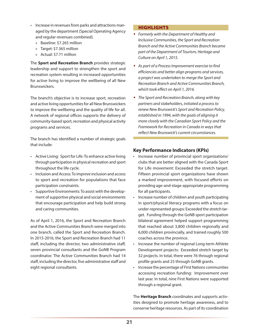- Increase in revenues from parks and attractions managed by the department (Special Operating Agency and regular revenues combined).
	- » Baseline: \$7.265 million
	- » Target: \$7.365 million
	- » Actual: \$7.71 million

The **Sport and Recreation Branch** provides strategic leadership and support to strengthen the sport and recreation system resulting in increased opportunities for active living to improve the wellbeing of all New Brunswickers.

The branch's objective is to increase sport, recreation and active living opportunities for all New Brunswickers to improve the wellbeing and the quality of life for all. A network of regional offices supports the delivery of community-based sport, recreation and physical activity programs and services.

The branch has identified a number of strategic goals that include:

- • Active Living: Sport for Life: To enhance active living through participation in physical recreation and sport throughout the life cycle.
- • Inclusion and Access: To improve inclusion and access to sport and recreation for populations that face participation constraints.
- • Supportive Environments: To assist with the development of supportive physical and social environments that encourage participation and help build strong and caring communities.

As of April 1, 2016, the Sport and Recreation Branch and the Active Communities Branch were merged into one branch, called the Sport and Recreation Branch. In 2015-2016, the Sport and Recreation Branch had 11 staff, including the director, two administrative staff, seven provincial consultants and the GoNB Program coordinator. The Active Communities Branch had 14 staff, including the director, five administrative staff and eight regional consultants.

#### **HIGHLIGHTS**

- *Formerly with the Department of Healthy and Inclusive Communities, the Sport and Recreation Branch and the Active Communities Branch became part of the Department of Tourism, Heritage and Culture on April 1, 2015.*
- *As part of a Process Improvement exercise to find efficiencies and better align programs and services, a project was undertaken to merge the Sport and Recreation Branch and Active Communities Branch, which took effect on April 1, 2016.*
- *The Sport and Recreation Branch, along with key partners and stakeholders, initiated a process to renew New Brunswick's Sport and Recreation Policy, established in 1994, with the goals of aligning it more closely with the Canadian Sport Policy and the Framework for Recreation in Canada in ways that reflect New Brunswick's current circumstances.*

### **Key Performance Indicators (KPIs)**

- Increase number of provincial sport organizations/ clubs that are better aligned with the Canada Sport for Life movement: Exceeded the stretch target. Fifteen provincial sport organizations have shown a marked improvement, with focused efforts on providing age-and-stage-appropriate programming for all participants.
- Increase number of children and youth participating in sport/physical literacy programs with a focus on under-represented groups: Exceeded the stretch target. Funding through the GoNB sport participation bilateral agreement helped support programming that reached about 3,800 children regionally and 6,000 children provincially, and trained roughly 500 coaches across the province.
- Increase the number of regional Long-term Athlete Development projects: Exceeded stretch target by 32 projects. In total, there were 76 through regional profile grants and 25 through GoNB grants.
- • Increase the percentage of First Nations communities accessing recreation funding: Improvement over last year. In total, nine First Nations were supported through a regional grant.

The **Heritage Branch** coordinates and supports activities designed to promote heritage awareness, and to conserve heritage resources. As part of its coordination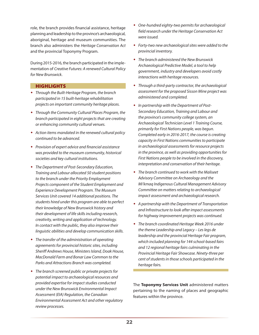role, the branch provides financial assistance, heritage planning and leadership to the province's archaeological, aboriginal, heritage and museum communities. The branch also administers the *Heritage Conservation Act* and the provincial Toponymy Program.

During 2015-2016, the branch participated in the implementation of *Creative Futures: A renewed Cultural Policy for New Brunswick*.

#### **HIGHLIGHTS**

- *Through the Built-Heritage Program, the branch participated in 15 built-heritage rehabilitation projects on important community heritage places.*
- *Through the Community Cultural Places Program, the branch participated in eight projects that are creating or enhancing community cultural venues.*
- *Action items mandated in the renewed cultural policy continued to be advanced.*
- *Provision of expert advice and financial assistance was provided to the museum community, historical societies and key cultural institutions.*
- *The Department of Post-Secondary Education, Training and Labour allocated 50 student positions to the branch under the Priority Employment Projects component of the Student Employment and Experience Development Program. The Museum Services Unit covered 14 additional positions. The students hired under this program are able to perfect their knowledge of New Brunswick history and their development of life skills including research, creativity, writing and application of technology. In contact with the public, they also improve their linguistic abilities and develop communication skills.*
- *The transfer of the administration of operating agreements for provincial historic sites, including Sheriff Andrews House, Ministers Island, Doak House, MacDonald Farm and Bonar Law Common to the Parks and Attractions Branch was completed.*
- *The branch screened public or private projects for potential impact to archaeological resources and provided expertise for impact studies conducted under the New Brunswick Environmental Impact Assessment (EIA) Regulation, the Canadian Environmental Assessment Act and other regulatory review processes.*
- *One-hundred eighty-two permits for archaeological field research under the Heritage Conservation Act were issued.*
- *Forty-two new archaeological sites were added to the provincial inventory.*
- *The branch administered the New Brunswick Archaeological Predictive Model, a tool to help government, industry and developers avoid costly interactions with heritage resources.*
- *Through a third-party contractor, the archaeological assessment for the proposed Sisson Mine project was administered and completed.*
- *In partnership with the Department of Post-Secondary Education, Training and Labour and the province's community college system, an Archaeological Technician Level 1 Training Course, primarily for First Nations people, was begun. Completed early in 2016-2017, the course is creating capacity in First Nations communities to participate in archaeological assessments for resource projects in the province, as well as providing opportunities for First Nations people to be involved in the discovery, interpretation and conservation of their heritage.*
- *The branch continued to work with the Maliseet Advisory Committee on Archaeology and the Mi'kmaq Indigenous Cultural Management Advisory Committee on matters relating to archaeological impact assessment and archaeological research.*
- *A partnership with the Department of Transportation and Infrastructure to look after impact assessments for highway improvement projects was continued.*
- *The branch coordinated Heritage Week 2016 under the theme Leadership and Legacy – Les legs de leadership and the provincial Heritage Fair program, which included planning for 144 school-based fairs and 12 regional heritage fairs culminating in the Provincial Heritage Fair Showcase. Ninety-three per cent of students in those schools participated in the heritage fairs.*

The **Toponymy Services Unit** administered matters pertaining to the naming of places and geographic features within the province.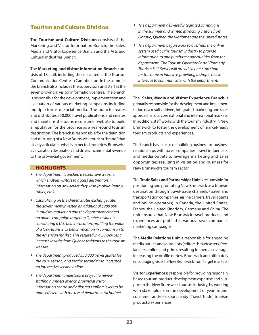# Tourism and Culture Division

The **Tourism and Culture Division** consists of the Marketing and Visitor Information Branch, the Sales, Media and Visitor Experience Branch and the Arts and Cultural Industries Branch.

The **Marketing and Visitor Information Branch** consists of 18 staff, including those located at the Tourism Communication Centre in Campbellton. In the summer, the branch also includes the supervisors and staff at the seven provincial visitor information centres. The branch is responsible for the development, implementation and evaluation of various marketing campaigns including multiple forms of social media. The branch creates and distributes 350,000 travel publications and creates and maintains the tourism consumer website to build a reputation for the province as a year-round tourism destination. The branch is responsible for the definition and nurturing of a New Brunswick tourism "brand" that clearly articulates what is expected from New Brunswick as a vacation destination and drives incremental revenue to the provincial government.

#### **HIGHLIGHTS**

- *The department launched a responsive website, which enables visitors to access destination information on any device they wish (mobile, laptop, tablet, etc.).*
- *Capitalizing on the United States exchange rate, the government invested an additional \$200,000 in tourism marketing and the department created an online campaign targeting Quebec residents considering a U.S. beach vacation, profiling the value of a New Brunswick beach vacation in comparison to the American market. This resulted in a 50-per-cent increase in visits from Quebec residents to the tourism website.*
- *The department produced 350,000 travel guides for the 2016 season, and for the second time, it created an interactive version online.*
- *The department undertook a project to review staffing numbers at each provincial visitor information centre and adjusted staffing levels to be more efficient with the use of departmental budget.*
- *The department delivered integrated campaigns in the summer and winter, attracting visitors from Ontario, Quebec, the Maritimes and the United states.*
- *The department began work to overhaul the online system used by the tourism industry to provide information to and purchase opportunities from the department. The Tourism Operator Portal (formerly Tourism Self-Serve) will provide a one-stop shop for the tourism industry, providing a simple to use interface to communicate with the department.*

The **Sales, Media and Visitor Experience Branch** is primarily responsible for the development and implementation of a results-driven, integrated marketing and sales approach in our core national and international markets. In addition, staff works with the tourism industry in New Brunswick to foster the development of market-ready tourism products and experiences.

The branch has a focus on building business-to-business relationships with travel companies, travel influencers, and media outlets to leverage marketing and sales opportunities resulting in visitation and business for New Brunswick's tourism sector.

The **Trade Sales and Partnerships Unit** is responsible for positioning and promoting New Brunswick as a tourism destination through travel-trade channels (travel and transportation companies, airline carriers, travel agents and online operators) in Canada, the United States, France, the United Kingdom, Germany and China. The unit ensures that New Brunswick travel products and experiences are profiled in various travel companies marketing campaigns.

The **Media Relations Unit** is responsible for engaging media outlets and journalists (editors, broadcasters, freelancers, online and print), resulting in media coverage, increasing the profile of New Brunswick and ultimately encouraging visits to New Brunswick from target markets.

**Visitor Experience** is responsible for providing regionally based tourism-product-development expertise and support to the New Brunswick tourism industry, by working with stakeholders in the development of year- round, consumer and/or export-ready (Travel Trade) tourism products/experiences.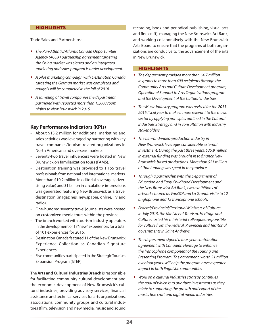#### **HIGHLIGHTS**

Trade Sales and Partnerships:

- *The Pan-Atlantic/Atlantic Canada Opportunities Agency (ACOA) partnership agreement targeting the China market was signed and an integrated marketing and sales program is under development.*
- *A pilot marketing campaign with Destination Canada targeting the German market was completed and analysis will be completed in the fall of 2016.*
- *A sampling of travel companies the department partnered with reported more than 15,000 room nights to New Brunswick in 2015.*

#### **Key Performance Indicators (KPIs)**

- • About \$15.2 million for additional marketing and sales activities was leveraged by partnering with key travel companies/tourism-related organizations in North American and overseas markets.
- • Seventy-two travel influencers were hosted in New Brunswick on familiarization tours (FAMS).
- • Destination training was provided to 1,155 travel professionals from national and international markets.
- • More than \$10.2 million in editorial coverage (advertising value) and \$1 billion in circulation/ impressions was generated featuring New Brunswick as a travel destination (magazines, newspaper, online, TV and radio).
- • One-hundred seventy travel journalists were hosted on customized media tours within the province.
- • The branch worked with tourism-industry operators in the development of 17 "new" experiences for a total of 101 experiences for 2016.
- • Destination Canada featured 11 of the New Brunswick Experience Collection as Canadian Signature Experiences.
- • Five communities participated in the Strategic Tourism Expansion Program (STEP).

The **Arts and Cultural Industries Branch** is responsible for facilitating community cultural development and the economic development of New Brunswick's cultural industries; providing advisory services, financial assistance and technical services for arts organizations, associations, community groups and cultural industries (film, television and new media, music and sound recording, book and periodical publishing, visual arts and fine craft); managing the New Brunswick Art Bank; and working collaboratively with the New Brunswick Arts Board to ensure that the programs of both organizations are conducive to the advancement of the arts in New Brunswick.

#### **HIGHLIGHTS**

- *The department provided more than \$4.7 million in grants to more than 400 recipients through the Community Arts and Culture Development program, Operational Support to Arts Organizations program and the Development of the Cultural Industries.*
- *The Music Industry program was revised for the 2015- 2016 fiscal year to make it more relevant to the music sector by applying principles outlined in the Cultural Industries Strategy and in consultation with industry stakeholders.*
- *The film-and-video-production industry in New Brunswick leverages considerable external investment. During the past three years, \$35.9 million in external funding was brought in to finance New Brunswick-based productions. More than \$21 million of that funding was spent in the province.*
- *Through a partnership with the Department of Education and Early Childhood Development and the New Brunswick Art Bank, two exhibitions of artworks toured as VanGO! and La Grande visite to 12 anglophone and 12 francophone schools.*
- *Federal/Provincial/Territorial Ministers of Culture: In July 2015, the Minister of Tourism, Heritage and Culture hosted his ministerial colleagues responsible for culture from the Federal, Provincial and Territorial governments in Saint Andrews.*
- *The department signed a four-year contribution agreement with Canadian Heritage to enhance the francophone component of the Touring and Presenting Program. The agreement, worth \$1 million over four years, will help the program have a greater impact in both linguistic communities.*
- *Work on a cultural industries strategy continues, the goal of which is to prioritize investments as they relate to supporting the growth and export of the music, fine craft and digital media industries.*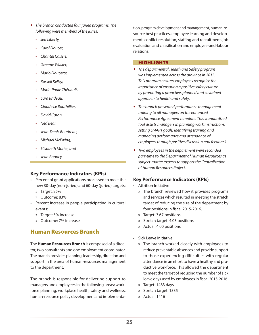- *The branch conducted four juried programs. The following were members of the juries:*
	- • *Jeff Liberty,*
	- • *Carol Doucet,*
	- • *Chantal Caissie,*
	- • *Graeme Walker,*
	- • *Mario Doucette,*
	- • *Russell Kelley,*
	- • *Marie-Paule Thériault,*
	- • *Sara Brideau,*
	- • *Claude Le Bouthillier,*
	- • *David Caron,*
	- • *Ned Bear,*
	- • *Jean-Denis Boudreau,*
	- • *Michael McEwing,*
	- • *Elisabeth Marier, and*
	- *Jean Rooney.*

#### **Key Performance Indicators (KPIs)**

- • Percent of grant applications processed to meet the new 30-day (non-juried) and 60-day (juried) targets:
	- » Target: 85%
	- » Outcome: 83%
- Percent increase in people participating in cultural events:
	- » Target: 5% increase
	- » Outcome: 7% increase

### Human Resources Branch

The **Human Resources Branch** is composed of a director, two consultants and one employment coordinator. The branch provides planning, leadership, direction and support in the area of human-resources management to the department.

The branch is responsible for delivering support to managers and employees in the following areas; workforce planning, workplace health, safety and wellness, human-resource policy development and implementation, program development and management, human-resource best practices, employee learning and development, conflict resolution, staffing and recruitment, job evaluation and classification and employee-and-labour relations.

#### **HIGHLIGHTS**

- *The departmental Health and Safety program was implemented across the province in 2015. This program ensures employees recognize the importance of ensuring a positive safety culture by promoting a proactive, planned and sustained approach to health and safety.*
- *The branch presented performance management training to all managers on the enhanced Performance Agreement template. This standardized tool assists managers in planning work instructions, setting SMART goals, identifying training and managing performance and attendance of employees through positive discussion and feedback.*
- *Two employees in the department were seconded part-time to the Department of Human Resources as subject-matter experts to support the Centralization of Human Resources Project.*

#### **Key Performance Indicators (KPIs)**

- • Attrition Initiative
	- » The branch reviewed how it provides programs and services which resulted in meeting the stretch target of reducing the size of the department by four positions in fiscal 2015-2016.
	- » Target: 3.67 positions
	- » Stretch target: 4.03 positions
	- » Actual: 4.00 positions
- • Sick Leave Initiative
	- » The branch worked closely with employees to reduce preventable absences and provide support to those experiencing difficulties with regular attendance in an effort to have a healthy and productive workforce. This allowed the department to meet the target of reducing the number of sick leave days used by employees in fiscal 2015-2016.
	- » Target: 1483 days
	- » Stretch target: 1335
	- » Actual: 1416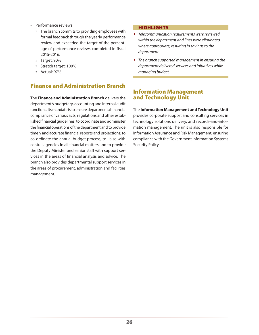- • Performance reviews
	- » The branch commits to providing employees with formal feedback through the yearly performance review and exceeded the target of the percentage of performance reviews completed in fiscal 2015-2016.
	- » Target: 90%
	- » Stretch target: 100%
	- » Actual: 97%

# Finance and Administration Branch

The **Finance and Administration Branch** delivers the department's budgetary, accounting and internal audit functions. Its mandate is to ensure departmental financial compliance of various acts, regulations and other established financial guidelines; to coordinate and administer the financial operations of the department and to provide timely and accurate financial reports and projections; to co-ordinate the annual budget process; to liaise with central agencies in all financial matters and to provide the Deputy Minister and senior staff with support services in the areas of financial analysis and advice. The branch also provides departmental support services in the areas of procurement, administration and facilities management.

#### **HIGHLIGHTS**

- *Telecommunication requirements were reviewed within the department and lines were eliminated, where appropriate, resulting in savings to the department.*
- *The branch supported management in ensuring the department delivered services and initiatives while managing budget.*

### Information Management and Technology Unit

The **Information Management and Technology Unit** provides corporate support and consulting services in technology solutions delivery, and records-and-information management. The unit is also responsible for Information Assurance and Risk Management, ensuring compliance with the Government Information Systems Security Policy.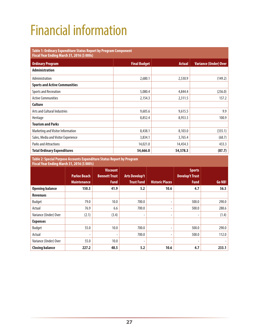# <span id="page-30-0"></span>Financial information

### **Table 1: Ordinary Expenditure Status Report by Program Component Fiscal Year Ending March 31, 2016 (\$ 000s) Ordinary Program Final Budget Actual Variance (Under) Over Administration** Administration (149.2) 2,680.1 2,680.1 2,530.9 (149.2) **Sports and Active Communities** Sports and Recreation 6.0 (236.0) 4,844.4 (236.0) 4,844.4 (236.0) Active Communities 2,154.3 2,311.5 2,311.5 2,311.5 2,54.3 **Culture** Arts and Cultural Industries extending the state of the state of the state of the state of the state of the state of the state of the state of the state of the state of the state of the state of the state of the state of t Heritage 8,852.4 8,953.3 100.9 **Tourism and Parks** Marketing and Visitor Information (335.1) 8,438.1 8,103.0 (335.1) 8,103.0 Sales, Media and Visitor Experience 168.7 (68.7) 3,834.1 3,765.4 (68.7) Parks and Attractions **14,021.0** 14,021.0 **14,454.3 14,454.3 14,454.3 14,454.3 14,454.3 14,454.3 14,454.3 14,454.3 14,454.3 14,454.3 14,454.3 14,454.3 14,454.3 14,454.3 14,454.3 14 Total Ordinary Expenditures 54,666.0 54,578.3 (87.7)**

**Table 2: Special Purpose Accounts Expenditure Status Report by Program Fiscal Year Ending March 31, 2016 (\$ 000's)**

| $1.5$ and $1.6$ and $2.1$ and $3.1$ and $1.7$ and $1.7$ and $1.7$ and $1.7$ and $1.7$ and $1.7$ and $1.7$ and $1.7$ and $1.7$ and $1.7$ and $1.7$ and $1.7$ and $1.7$ and $1.7$ and $1.7$ and $1.7$ and $1.7$ and $1.7$ and |                          |                      |                       |                          |                        |        |
|-----------------------------------------------------------------------------------------------------------------------------------------------------------------------------------------------------------------------------|--------------------------|----------------------|-----------------------|--------------------------|------------------------|--------|
|                                                                                                                                                                                                                             |                          | <b>Viscount</b>      |                       |                          | <b>Sports</b>          |        |
|                                                                                                                                                                                                                             | <b>Parlee Beach</b>      | <b>Bennett Trust</b> | <b>Arts Develop't</b> |                          | <b>Develop't Trust</b> |        |
|                                                                                                                                                                                                                             | <b>Maintenance</b>       | <b>Fund</b>          | <b>Trust Fund</b>     | <b>Historic Places</b>   | <b>Fund</b>            | Go NB! |
| <b>Opening balance</b>                                                                                                                                                                                                      | 150.3                    | 41.9                 | 5.2                   | 10.6                     | 4.7                    | 56.5   |
| <b>Revenues</b>                                                                                                                                                                                                             |                          |                      |                       |                          |                        |        |
| Budget                                                                                                                                                                                                                      | 79.0                     | 10.0                 | 700.0                 | $\overline{\phantom{0}}$ | 500.0                  | 290.0  |
| Actual                                                                                                                                                                                                                      | 76.9                     | 6.6                  | 700.0                 |                          | 500.0                  | 288.6  |
| Variance (Under) Over                                                                                                                                                                                                       | (2.1)                    | (3.4)                |                       |                          | ۰                      | (1.4)  |
| <b>Expenses</b>                                                                                                                                                                                                             |                          |                      |                       |                          |                        |        |
| Budget                                                                                                                                                                                                                      | 55.0                     | 10.0                 | 700.0                 | ۰                        | 500.0                  | 290.0  |
| Actual                                                                                                                                                                                                                      | $\overline{\phantom{0}}$ | ٠                    | 700.0                 |                          | 500.0                  | 112.0  |
| Variance (Under) Over                                                                                                                                                                                                       | 55.0                     | 10.0                 |                       |                          |                        |        |
| <b>Closing balance</b>                                                                                                                                                                                                      | 227.2                    | 48.5                 | 5.2                   | 10.6                     | 4.7                    | 233.1  |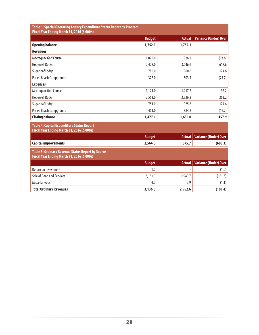| Table 3: Special Operating Agency Expenditure Status Report by Program<br>Fiscal Year Ending March 31, 2016 (\$ 000's) |               |               |                              |  |
|------------------------------------------------------------------------------------------------------------------------|---------------|---------------|------------------------------|--|
|                                                                                                                        | <b>Budget</b> | <b>Actual</b> | <b>Variance (Under) Over</b> |  |
| <b>Opening balance</b>                                                                                                 | 1,752.1       | 1,752.1       |                              |  |
| <b>Revenues</b>                                                                                                        |               |               |                              |  |
| Mactaquac Golf Course                                                                                                  | 1,020.0       | 926.2         | (93.8)                       |  |
| <b>Hopewell Rocks</b>                                                                                                  | 2,428.0       | 3,046.6       | 618.6                        |  |
| Sugarloaf Lodge                                                                                                        | 786.0         | 960.6         | 174.6                        |  |
| Parlee Beach Campground                                                                                                | 327.0         | 303.3         | (23.7)                       |  |
| <b>Expenses</b>                                                                                                        |               |               |                              |  |
| Mactaquac Golf Course                                                                                                  | 1,121.0       | 1,217.2       | 96.2                         |  |
| <b>Hopewell Rocks</b>                                                                                                  | 2.563.0       | 2,826.2       | 263.2                        |  |
| Sugarloaf Lodge                                                                                                        | 751.0         | 925.6         | 174.6                        |  |
| Parlee Beach Campground                                                                                                | 401.0         | 384.8         | (16.2)                       |  |
| <b>Closing balance</b>                                                                                                 | 1,477.1       | 1,635.0       | 157.9                        |  |
| Table 4: Capital Expenditure Status Report<br>Fiscal Year Ending March 31, 2016 (\$ 000s)                              |               |               |                              |  |
|                                                                                                                        | <b>Budget</b> | <b>Actual</b> | <b>Variance (Under) Over</b> |  |
| <b>Capital improvements</b>                                                                                            | 2,564.0       | 1,875.7       | (688.3)                      |  |
| Table 5: Ordinary Revenue Status Report by Source<br>Fiscal Year Ending March 31, 2016 (\$ 000s)                       |               |               |                              |  |
|                                                                                                                        | <b>Budget</b> | <b>Actual</b> | <b>Variance (Under) Over</b> |  |
| <b>Return on Investment</b>                                                                                            | 1.0           |               | (1.0)                        |  |
| Sale of Good and Services                                                                                              | 3,131.0       | 2,949.7       | (181.3)                      |  |
| <b>Miscellaneous</b>                                                                                                   | 4.0           | 2.9           | (1.1)                        |  |
| <b>Total Ordinary Revenues</b>                                                                                         | 3,136.0       | 2,952.6       | (183.4)                      |  |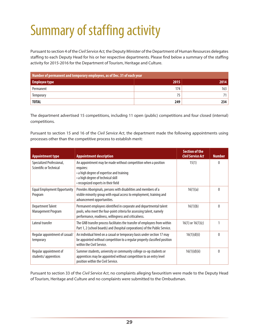# <span id="page-32-0"></span>Summary of staffing activity

Pursuant to section 4 of the *Civil Service Act,* the Deputy Minister of the Department of Human Resources delegates staffing to each Deputy Head for his or her respective departments. Please find below a summary of the staffing activity for 2015-2016 for the Department of Tourism, Heritage and Culture.

| Number of permanent and temporary employees, as of Dec. 31 of each year |      |      |  |  |
|-------------------------------------------------------------------------|------|------|--|--|
| Employee type                                                           | 2015 | 2014 |  |  |
| Permanent                                                               | 174  | 163  |  |  |
| Temporary                                                               | 75   |      |  |  |
| <b>TOTAL</b>                                                            | 249  | 234  |  |  |

The department advertised 15 competitions, including 11 open (public) competitions and four closed (internal) competitions.

Pursuant to section 15 and 16 of the *Civil Service Act*, the department made the following appointments using processes other than the competitive process to establish merit:

| <b>Appointment type</b>                              | <b>Appointment description</b>                                                                                                                                                                        | <b>Section of the</b><br><b>Civil Service Act</b> | <b>Number</b> |
|------------------------------------------------------|-------------------------------------------------------------------------------------------------------------------------------------------------------------------------------------------------------|---------------------------------------------------|---------------|
| Specialized Professional,<br>Scientific or Technical | An appointment may be made without competition when a position<br>requires:<br>• a high degree of expertise and training<br>• a high degree of technical skill<br>• recognized experts in their field | 15(1)                                             | 0             |
| <b>Equal Employment Opportunity</b><br>Program       | Provides Aboriginals, persons with disabilities and members of a<br>visible minority group with equal access to employment, training and<br>advancement opportunities.                                | 16(1)(a)                                          | 0             |
| <b>Department Talent</b><br>Management Program       | Permanent employees identified in corporate and departmental talent<br>pools, who meet the four-point criteria for assessing talent, namely<br>performance, readiness, willingness and criticalness.  | 16(1)(b)                                          | 0             |
| Lateral transfer                                     | The GNB transfer process facilitates the transfer of employees from within<br>Part 1, 2 (school boards) and (hospital corporations) of the Public Service.                                            | $16(1)$ or $16(1)(c)$                             |               |
| Regular appointment of casual/<br>temporary          | An individual hired on a casual or temporary basis under section 17 may<br>be appointed without competition to a regular properly classified position<br>within the Civil Service.                    | 16(1)(d)(i)                                       | 0             |
| Regular appointment of<br>students/apprentices       | Summer students, university or community college co-op students or<br>apprentices may be appointed without competition to an entry level<br>position within the Civil Service.                        | 16(1)(d)(ii)                                      | 0             |

Pursuant to section 33 of the *Civil Service Act*, no complaints alleging favouritism were made to the Deputy Head of Tourism, Heritage and Culture and no complaints were submitted to the Ombudsman.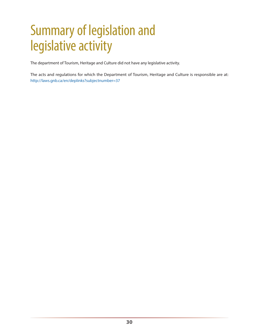# <span id="page-33-0"></span>Summary of legislation and legislative activity

The department of Tourism, Heritage and Culture did not have any legislative activity.

The acts and regulations for which the Department of Tourism, Heritage and Culture is responsible are at: <http://laws.gnb.ca/en/deplinks?subjectnumber=37>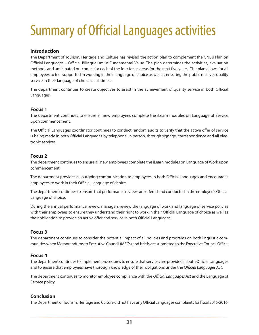# <span id="page-34-0"></span>Summary of Official Languages activities

#### **Introduction**

The Department of Tourism, Heritage and Culture has revised the action plan to complement the GNB's Plan on Official Languages – Official Bilingualism: A Fundamental Value. The plan determines the activities, evaluation methods and anticipated outcomes for each of the four focus areas for the next five years. The plan allows for all employees to feel supported in working in their language of choice as well as ensuring the public receives quality service in their language of choice at all times.

The department continues to create objectives to assist in the achievement of quality service in both Official Languages.

#### **Focus 1**

The department continues to ensure all new employees complete the iLearn modules on Language of Service upon commencement.

The Official Languages coordinator continues to conduct random audits to verify that the active offer of service is being made in both Official Languages by telephone, in person, through signage, correspondence and all electronic services.

#### **Focus 2**

The department continues to ensure all new employees complete the iLearn modules on Language of Work upon commencement.

The department provides all outgoing communication to employees in both Official Languages and encourages employees to work in their Official Language of choice.

The department continues to ensure that performance reviews are offered and conducted in the employee's Official Language of choice.

During the annual performance review, managers review the language of work and language of service policies with their employees to ensure they understand their right to work in their Officlal Language of choice as well as their obligation to provide an active offer and service in both Official Languages.

#### **Focus 3**

The department continues to consider the potential impact of all policies and programs on both linguistic communities when Memorandums to Executive Council (MECs) and briefs are submitted to the Executive Council Office.

#### **Focus 4**

The department continues to implement procedures to ensure that services are provided in both Official Languages and to ensure that employees have thorough knowledge of their obligations under the *Official Languages Act*.

The department continues to monitor employee compliance with the *Official Languages Act* and the Language of Service policy.

#### **Conclusion**

The Department of Tourism, Heritage and Culture did not have any Official Languages complaints for fiscal 2015-2016.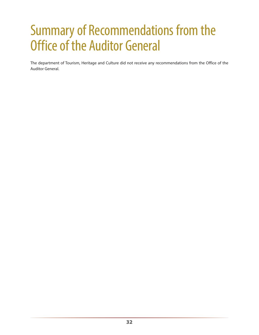# <span id="page-35-0"></span>Summary of Recommendations from the Office of the Auditor General

The department of Tourism, Heritage and Culture did not receive any recommendations from the Office of the Auditor General.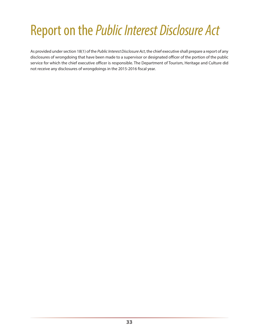# <span id="page-36-0"></span>Report on the *Public Interest Disclosure Act*

As provided under section 18(1) of the *Public Interest Disclosure Act*, the chief executive shall prepare a report of any disclosures of wrongdoing that have been made to a supervisor or designated officer of the portion of the public service for which the chief executive officer is responsible. The Department of Tourism, Heritage and Culture did not receive any disclosures of wrongdoings in the 2015-2016 fiscal year.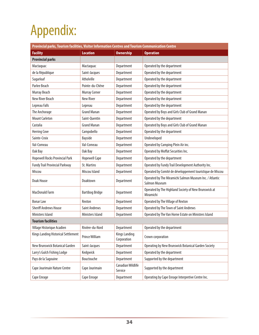# <span id="page-37-0"></span>Appendix:

| Provincial parks, Tourism facilities, Visitor Information Centres and Tourism Communication Centre |                        |                                     |                                                                          |  |  |
|----------------------------------------------------------------------------------------------------|------------------------|-------------------------------------|--------------------------------------------------------------------------|--|--|
| <b>Facility</b>                                                                                    | <b>Location</b>        | <b>Ownership</b>                    | <b>Operation</b>                                                         |  |  |
| <b>Provincial parks</b>                                                                            |                        |                                     |                                                                          |  |  |
| Mactaquac                                                                                          | Mactaquac              | Department                          | Operated by the department                                               |  |  |
| de la République                                                                                   | Saint-Jacques          | Department                          | Operated by the department                                               |  |  |
| Sugarloaf                                                                                          | Atholville             | Department                          | Operated by the department                                               |  |  |
| Parlee Beach                                                                                       | Pointe-du-Chêne        | Department                          | Operated by the department                                               |  |  |
| Murray Beach                                                                                       | <b>Murray Corner</b>   | Department                          | Operated by the department                                               |  |  |
| New River Beach                                                                                    | <b>New River</b>       | Department                          | Operated by the department                                               |  |  |
| Lepreau Falls                                                                                      | Lepreau                | Department                          | Operated by the department                                               |  |  |
| The Anchorage                                                                                      | <b>Grand Manan</b>     | Department                          | Operated by Boys and Girls Club of Grand Manan                           |  |  |
| <b>Mount Carleton</b>                                                                              | Saint-Quentin          | Department                          | Operated by the department                                               |  |  |
| Castalia                                                                                           | <b>Grand Manan</b>     | Department                          | Operated by Boys and Girls Club of Grand Manan                           |  |  |
| <b>Herring Cove</b>                                                                                | Campobello             | Department                          | Operated by the department                                               |  |  |
| Sainte-Croix                                                                                       | Bayside                | Department                          | Undeveloped                                                              |  |  |
| Val-Comeau                                                                                         | Val-Comeau             | Department                          | Operated by Camping Plein Air inc.                                       |  |  |
| Oak Bay                                                                                            | Oak Bay                | Department                          | Operated by Moffat Securities Inc.                                       |  |  |
| <b>Hopewell Rocks Provincial Park</b>                                                              | <b>Hopewell Cape</b>   | Department                          | Operated by the department                                               |  |  |
| <b>Fundy Trail Provincial Parkway</b>                                                              | <b>St. Martins</b>     | Department                          | Operated by Fundy Trail Development Authority Inc.                       |  |  |
| Miscou                                                                                             | Miscou Island          | Department                          | Operated by Comité de développement touristique de Miscou                |  |  |
| Doak House                                                                                         | Doaktown               | Department                          | Operated by The Miramichi Salmon Museum Inc. / Atlantic<br>Salmon Museum |  |  |
| MacDonald Farm                                                                                     | <b>Bartibog Bridge</b> | Department                          | Operated by The Highland Society of New Brunswick at<br>Miramichi        |  |  |
| <b>Bonar Law</b>                                                                                   | Rexton                 | Department                          | Operated by The Village of Rexton                                        |  |  |
| <b>Sheriff Andrews House</b>                                                                       | <b>Saint Andrews</b>   | Department                          | Operated by The Town of Saint Andrews                                    |  |  |
| Ministers Island                                                                                   | Ministers Island       | Department                          | Operated by The Van Horne Estate on Ministers Island                     |  |  |
| <b>Tourism facilities</b>                                                                          |                        |                                     |                                                                          |  |  |
| Village Historique Acadien                                                                         | Rivière-du-Nord        | Department                          | Operated by the department                                               |  |  |
| Kings Landing Historical Settlement                                                                | Prince William         | <b>Kings Landing</b><br>Corporation | Crown corporation                                                        |  |  |
| New Brunswick Botanical Garden                                                                     | Saint-Jacques          | Department                          | Operating by New Brunswick Botanical Garden Society                      |  |  |
| Larry's Gulch Fishing Lodge                                                                        | Kedgwick               | Department                          | Operated by the department                                               |  |  |
| Pays de la Sagouine                                                                                | Bouctouche             | Department                          | Supported by the department                                              |  |  |
| Cape Jourimain Nature Centre                                                                       | Cape Jourimain         | <b>Canadian Wildlife</b><br>Service | Supported by the department                                              |  |  |
| Cape Enrage                                                                                        | Cape Enrage            | Department                          | Operating by Cape Enrage Interpretive Centre Inc.                        |  |  |